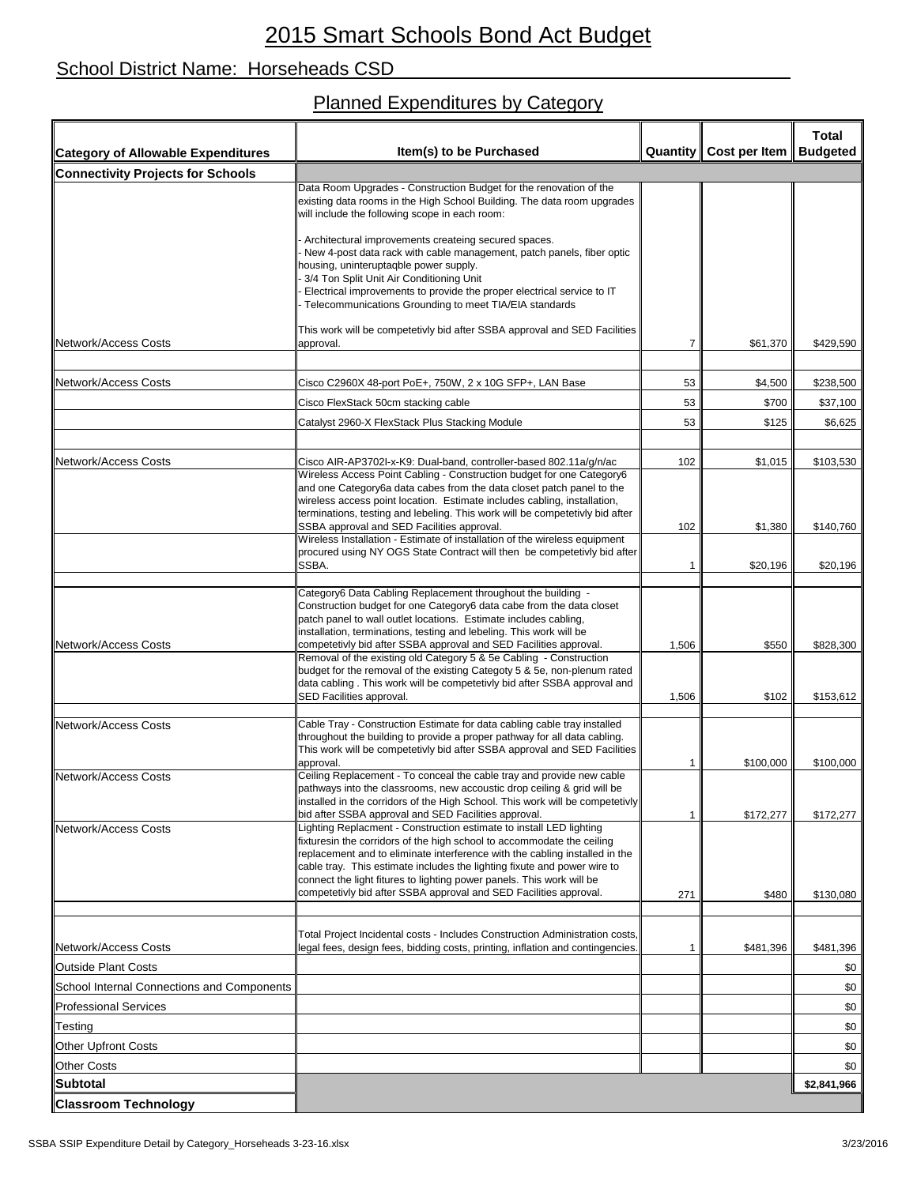## School District Name: Horseheads CSD

## Planned Expenditures by Category

| <b>Category of Allowable Expenditures</b>  | Item(s) to be Purchased                                                                                                                                                                                                                                                                                                                                                          |                | Quantity   Cost per Item | <b>Total</b><br><b>Budgeted</b> |
|--------------------------------------------|----------------------------------------------------------------------------------------------------------------------------------------------------------------------------------------------------------------------------------------------------------------------------------------------------------------------------------------------------------------------------------|----------------|--------------------------|---------------------------------|
| <b>Connectivity Projects for Schools</b>   |                                                                                                                                                                                                                                                                                                                                                                                  |                |                          |                                 |
|                                            | Data Room Upgrades - Construction Budget for the renovation of the<br>existing data rooms in the High School Building. The data room upgrades<br>will include the following scope in each room:                                                                                                                                                                                  |                |                          |                                 |
|                                            | Architectural improvements createing secured spaces.<br>New 4-post data rack with cable management, patch panels, fiber optic<br>housing, uninteruptaqble power supply.<br>3/4 Ton Split Unit Air Conditioning Unit<br>Electrical improvements to provide the proper electrical service to IT<br>Telecommunications Grounding to meet TIA/EIA standards                          |                |                          |                                 |
| Network/Access Costs                       | This work will be competetivly bid after SSBA approval and SED Facilities<br>approval.                                                                                                                                                                                                                                                                                           | 7              | \$61,370                 | \$429,590                       |
|                                            |                                                                                                                                                                                                                                                                                                                                                                                  |                |                          |                                 |
| <b>Network/Access Costs</b>                | Cisco C2960X 48-port PoE+, 750W, 2 x 10G SFP+, LAN Base                                                                                                                                                                                                                                                                                                                          | 53             | \$4,500                  | \$238,500                       |
|                                            | Cisco FlexStack 50cm stacking cable                                                                                                                                                                                                                                                                                                                                              | 53             | \$700                    | \$37,100                        |
|                                            | Catalyst 2960-X FlexStack Plus Stacking Module                                                                                                                                                                                                                                                                                                                                   | 53             | \$125                    | \$6,625                         |
| Network/Access Costs                       | Cisco AIR-AP3702I-x-K9: Dual-band, controller-based 802.11a/g/n/ac                                                                                                                                                                                                                                                                                                               | 102            | \$1,015                  | \$103,530                       |
|                                            | Wireless Access Point Cabling - Construction budget for one Category6<br>and one Category6a data cabes from the data closet patch panel to the<br>wireless access point location. Estimate includes cabling, installation,<br>terminations, testing and lebeling. This work will be competetivly bid after<br>SSBA approval and SED Facilities approval.                         | 102            | \$1,380                  | \$140,760                       |
|                                            | Wireless Installation - Estimate of installation of the wireless equipment<br>procured using NY OGS State Contract will then be competetivly bid after<br>SSBA.                                                                                                                                                                                                                  | 1              | \$20,196                 | \$20,196                        |
|                                            | Category6 Data Cabling Replacement throughout the building -<br>Construction budget for one Category6 data cabe from the data closet<br>patch panel to wall outlet locations. Estimate includes cabling,<br>installation, terminations, testing and lebeling. This work will be                                                                                                  |                |                          |                                 |
| Network/Access Costs                       | competetivly bid after SSBA approval and SED Facilities approval.<br>Removal of the existing old Category 5 & 5e Cabling - Construction<br>budget for the removal of the existing Categoty 5 & 5e, non-plenum rated<br>data cabling . This work will be competetivly bid after SSBA approval and<br>SED Facilities approval.                                                     | 1,506<br>1,506 | \$550<br>\$102           | \$828,300<br>\$153,612          |
| <b>Network/Access Costs</b>                | Cable Tray - Construction Estimate for data cabling cable tray installed<br>throughout the building to provide a proper pathway for all data cabling.<br>This work will be competetivly bid after SSBA approval and SED Facilities<br>approval.                                                                                                                                  | 1              | \$100,000                | \$100,000                       |
| <b>Network/Access Costs</b>                | Ceiling Replacement - To conceal the cable tray and provide new cable<br>pathways into the classrooms, new accoustic drop ceiling & grid will be<br>installed in the corridors of the High School. This work will be competetivly<br>bid after SSBA approval and SED Facilities approval.                                                                                        | 1              | \$172,277                | \$172,277                       |
| Network/Access Costs                       | ighting Replacment - Construction estimate to install LED lighting<br>fixturesin the corridors of the high school to accommodate the ceiling<br>replacement and to eliminate interference with the cabling installed in the<br>cable tray. This estimate includes the lighting fixute and power wire to<br>connect the light fitures to lighting power panels. This work will be |                |                          |                                 |
|                                            | competetivly bid after SSBA approval and SED Facilities approval.                                                                                                                                                                                                                                                                                                                | 271            | \$480                    | \$130,080                       |
| <b>Network/Access Costs</b>                | Total Project Incidental costs - Includes Construction Administration costs,<br>legal fees, design fees, bidding costs, printing, inflation and contingencies.                                                                                                                                                                                                                   | 1              | \$481,396                | \$481,396                       |
| <b>Outside Plant Costs</b>                 |                                                                                                                                                                                                                                                                                                                                                                                  |                |                          | \$0                             |
| School Internal Connections and Components |                                                                                                                                                                                                                                                                                                                                                                                  |                |                          | \$0                             |
| <b>Professional Services</b>               |                                                                                                                                                                                                                                                                                                                                                                                  |                |                          | \$0                             |
| Testing                                    |                                                                                                                                                                                                                                                                                                                                                                                  |                |                          | \$0                             |
| <b>Other Upfront Costs</b>                 |                                                                                                                                                                                                                                                                                                                                                                                  |                |                          | \$0                             |
| <b>Other Costs</b>                         |                                                                                                                                                                                                                                                                                                                                                                                  |                |                          | \$0                             |
| <b>Subtotal</b>                            |                                                                                                                                                                                                                                                                                                                                                                                  |                |                          | \$2,841,966                     |
| <b>Classroom Technology</b>                |                                                                                                                                                                                                                                                                                                                                                                                  |                |                          |                                 |